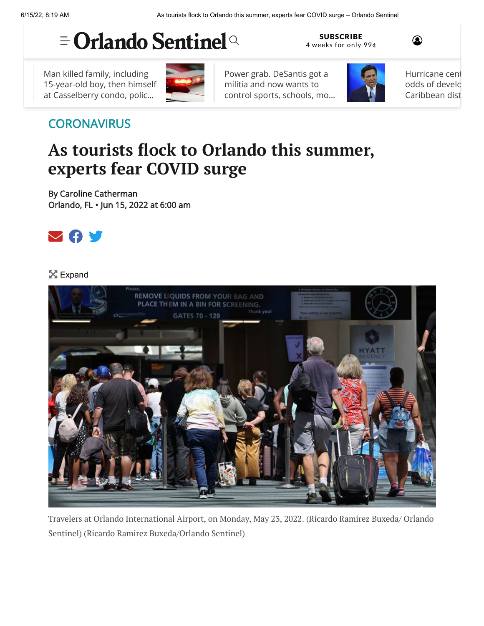## $\equiv$  Orlando Sentinel<sup>Q</sup>

Man killed family, including [15-year-old boy, then himself](https://www.orlandosentinel.com/news/crime/os-ne-four-killed-casselberry-20220614-obb3qtomlfhylc3u7sev7qx2ja-story.html#nt=ticker) at Casselberry condo, polic…



Power grab. DeSantis got a militia and now wants to [control sports, schools, mo…](https://www.orlandosentinel.com/opinion/scott-maxwell-commentary/os-op-ron-desantis-power-grab-militia-universities-scott-maxwell-20220614-h33nwvdldbh6flwvxlp47lnatq-story.html#nt=ticker)



SUBSCRIBE [4 weeks for only 99¢](https://www.orlandosentinel.com/subscriptions/land-subscribe-evergreen/index.html?int=nav2)

> [Hurricane cent](https://www.orlandosentinel.com/weather/hurricane/os-ne-national-hurricane-system-wednesday-update-20220615-t3u5rfelkvclff6nsy4emmbf6i-story.html#nt=ticker) odds of develo Caribbean dist

 $\circledcirc$ 

## **[CORONAVIRUS](https://www.orlandosentinel.com/coronavirus/#nt=taxonomy-article)**

## **As tourists flock to Orlando this summer, experts fear COVID surge**

By [Caroline Catherman](https://www.orlandosentinel.com/os-staff-caroline-catherman-staff.html#nt=byline) Orlando, FL • Jun 15, 2022 at 6:00 am



## X Expand



Travelers at Orlando International Airport, on Monday, May 23, 2022. (Ricardo Ramirez Buxeda/ Orlando Sentinel) (Ricardo Ramirez Buxeda/Orlando Sentinel)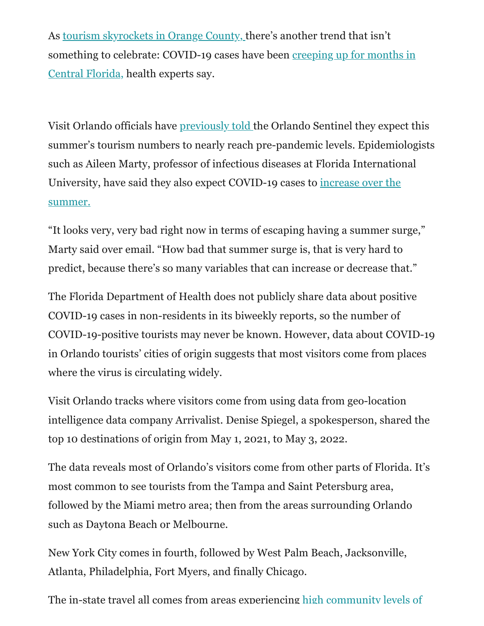As [tourism skyrockets in Orange County, t](https://www.orlandosentinel.com/news/orange-county/os-ne-orange-tdt-april-surge-20220603-knmpixtgczenrh2cdy3g7n46r4-story.html)here's another trend that isn't [something to celebrate: COVID-19 cases have been creeping up for months in](https://www.orlandosentinel.com/coronavirus/os-ne-covid-community-level-high-central-florida-cdc-20220606-g6ltm7kvbnf6jb3fngnr4m7dcm-story.html) Central Florida, health experts say.

Visit Orlando officials have [previously told t](https://www.orlandosentinel.com/news/orange-county/os-ne-orange-tdt-april-surge-20220603-knmpixtgczenrh2cdy3g7n46r4-story.html)he Orlando Sentinel they expect this summer's tourism numbers to nearly reach pre-pandemic levels. Epidemiologists such as Aileen Marty, professor of infectious diseases at Florida International [University, have said they also expect COVID-19 cases to increase over the](https://www.orlandosentinel.com/coronavirus/fl-ne-covid-summer-surge-protection-20220520-vdndw4ue5jfcphy6gcq32a6ygi-story.html) summer.

"It looks very, very bad right now in terms of escaping having a summer surge," Marty said over email. "How bad that summer surge is, that is very hard to predict, because there's so many variables that can increase or decrease that."

The Florida Department of Health does not publicly share data about positive COVID-19 cases in non-residents in its biweekly reports, so the number of COVID-19-positive tourists may never be known. However, data about COVID-19 in Orlando tourists' cities of origin suggests that most visitors come from places where the virus is circulating widely.

Visit Orlando tracks where visitors come from using data from geo-location intelligence data company Arrivalist. Denise Spiegel, a spokesperson, shared the top 10 destinations of origin from May 1, 2021, to May 3, 2022.

The data reveals most of Orlando's visitors come from other parts of Florida. It's most common to see tourists from the Tampa and Saint Petersburg area, followed by the Miami metro area; then from the areas surrounding Orlando such as Daytona Beach or Melbourne.

New York City comes in fourth, followed by West Palm Beach, Jacksonville, Atlanta, Philadelphia, Fort Myers, and finally Chicago.

[The in-state travel all comes from areas experiencing high community levels of](https://covid.cdc.gov/covid-data-tracker/#county-view?list_select_state=all_states&list_select_county=&data-type=CommunityLevels&null=CommunityLevels)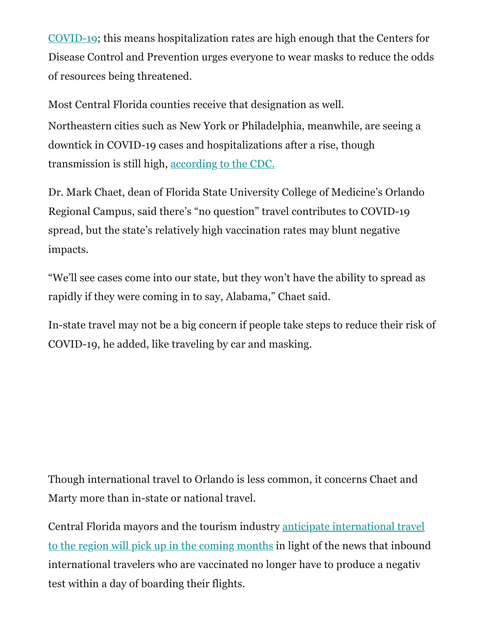[COVID-19; this means hospitalization rates are high enough that the Centers fo](https://covid.cdc.gov/covid-data-tracker/#county-view?list_select_state=all_states&list_select_county=&data-type=CommunityLevels&null=CommunityLevels)r Disease Control and Prevention urges everyone to wear masks to reduce the odds of resources being threatened.

Most Central Florida counties receive that designation as well. Northeastern cities such as New York or Philadelphia, meanwhile, are seeing a downtick in COVID-19 cases and hospitalizations after a rise, though transmission is still high, [according to the CDC.](https://covid.cdc.gov/covid-data-tracker/#county-view?list_select_state=all_states&list_select_county=all_counties&data-type=Risk)

Dr. Mark Chaet, dean of Florida State University College of Medicine's Orlando Regional Campus, said there's "no question" travel contributes to COVID-19 spread, but the state's relatively high vaccination rates may blunt negative impacts.

"We'll see cases come into our state, but they won't have the ability to spread as rapidly if they were coming in to say, Alabama," Chaet said.

In-state travel may not be a big concern if people take steps to reduce their risk of COVID-19, he added, like traveling by car and masking.

Though international travel to Orlando is less common, it concerns Chaet and Marty more than in-state or national travel.

Central Florida mayors and the tourism industry anticipate international travel [to the region will pick up in the coming months in light of the news that inbound](https://www.orlandosentinel.com/business/tourism/os-bz-covid-test-travel-requirement-20220610-laian2hw2fdwbeuxr2plhyjrwe-story.html) international travelers who are vaccinated no longer have to produce a negative test within a day of boarding their flights.